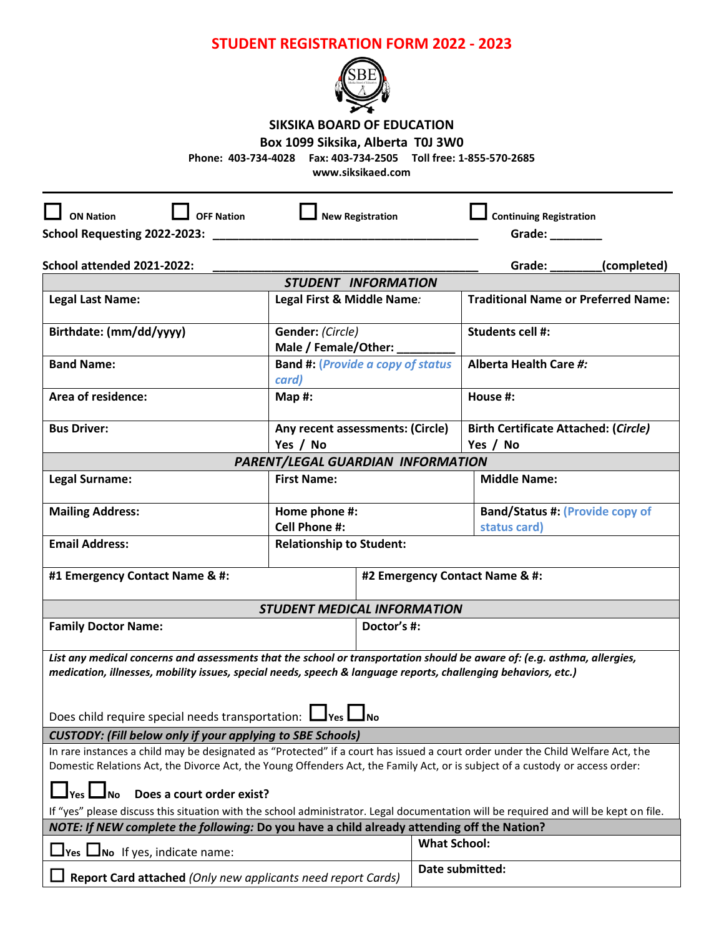## **STUDENT REGISTRATION FORM 2022 - 2023**



## **SIKSIKA BOARD OF EDUCATION**

## **Box 1099 Siksika, Alberta T0J 3W0**

**Phone: 403-734-4028 Fax: 403-734-2505 Toll free: 1-855-570-2685**

**www.siksikaed.com**

| <b>OFF Nation</b><br><b>ON Nation</b>                                                                                                                                                                |                                          | <b>New Registration</b> |                                | <b>Continuing Registration</b>              |  |  |
|------------------------------------------------------------------------------------------------------------------------------------------------------------------------------------------------------|------------------------------------------|-------------------------|--------------------------------|---------------------------------------------|--|--|
| School Requesting 2022-2023:                                                                                                                                                                         |                                          |                         |                                | Grade: $\frac{1}{2}$                        |  |  |
|                                                                                                                                                                                                      |                                          |                         |                                |                                             |  |  |
| School attended 2021-2022:                                                                                                                                                                           |                                          |                         |                                | Grade: _______(completed)                   |  |  |
|                                                                                                                                                                                                      | STUDENT INFORMATION                      |                         |                                |                                             |  |  |
| <b>Legal Last Name:</b>                                                                                                                                                                              | Legal First & Middle Name:               |                         |                                | <b>Traditional Name or Preferred Name:</b>  |  |  |
| Birthdate: (mm/dd/yyyy)                                                                                                                                                                              | Gender: (Circle)                         |                         |                                | Students cell #:                            |  |  |
|                                                                                                                                                                                                      | Male / Female/Other:                     |                         |                                |                                             |  |  |
| <b>Band Name:</b>                                                                                                                                                                                    | <b>Band #: (Provide a copy of status</b> |                         |                                | Alberta Health Care #:                      |  |  |
|                                                                                                                                                                                                      | card)                                    |                         |                                |                                             |  |  |
| Area of residence:                                                                                                                                                                                   | Map #:                                   |                         |                                | House #:                                    |  |  |
|                                                                                                                                                                                                      |                                          |                         |                                |                                             |  |  |
| <b>Bus Driver:</b>                                                                                                                                                                                   | Any recent assessments: (Circle)         |                         |                                | <b>Birth Certificate Attached: (Circle)</b> |  |  |
|                                                                                                                                                                                                      | Yes / No                                 |                         |                                | Yes / No                                    |  |  |
|                                                                                                                                                                                                      | PARENT/LEGAL GUARDIAN INFORMATION        |                         |                                |                                             |  |  |
| Legal Surname:                                                                                                                                                                                       | <b>First Name:</b>                       |                         |                                | <b>Middle Name:</b>                         |  |  |
| <b>Mailing Address:</b>                                                                                                                                                                              | Home phone #:                            |                         |                                | <b>Band/Status #: (Provide copy of</b>      |  |  |
| <b>Cell Phone #:</b>                                                                                                                                                                                 |                                          |                         |                                | status card)                                |  |  |
| <b>Email Address:</b>                                                                                                                                                                                | <b>Relationship to Student:</b>          |                         |                                |                                             |  |  |
| #1 Emergency Contact Name & #:                                                                                                                                                                       |                                          |                         | #2 Emergency Contact Name & #: |                                             |  |  |
|                                                                                                                                                                                                      |                                          |                         |                                |                                             |  |  |
| <b>STUDENT MEDICAL INFORMATION</b><br><b>Family Doctor Name:</b><br>Doctor's #:                                                                                                                      |                                          |                         |                                |                                             |  |  |
|                                                                                                                                                                                                      |                                          |                         |                                |                                             |  |  |
| List any medical concerns and assessments that the school or transportation should be aware of: (e.g. asthma, allergies,                                                                             |                                          |                         |                                |                                             |  |  |
| medication, illnesses, mobility issues, special needs, speech & language reports, challenging behaviors, etc.)                                                                                       |                                          |                         |                                |                                             |  |  |
|                                                                                                                                                                                                      |                                          |                         |                                |                                             |  |  |
| Does child require special needs transportation: $\Box$ Yes $\Box$ No                                                                                                                                |                                          |                         |                                |                                             |  |  |
|                                                                                                                                                                                                      |                                          |                         |                                |                                             |  |  |
| <b>CUSTODY: (Fill below only if your applying to SBE Schools)</b><br>In rare instances a child may be designated as "Protected" if a court has issued a court order under the Child Welfare Act, the |                                          |                         |                                |                                             |  |  |
| Domestic Relations Act, the Divorce Act, the Young Offenders Act, the Family Act, or is subject of a custody or access order:                                                                        |                                          |                         |                                |                                             |  |  |
|                                                                                                                                                                                                      |                                          |                         |                                |                                             |  |  |
| Does a court order exist?<br><b>No</b>                                                                                                                                                               |                                          |                         |                                |                                             |  |  |
| If "yes" please discuss this situation with the school administrator. Legal documentation will be required and will be kept on file.                                                                 |                                          |                         |                                |                                             |  |  |
| NOTE: If NEW complete the following: Do you have a child already attending off the Nation?                                                                                                           |                                          |                         |                                |                                             |  |  |
| $\Box$ Yes $\Box$ No If yes, indicate name:                                                                                                                                                          |                                          |                         | <b>What School:</b>            |                                             |  |  |
| Report Card attached (Only new applicants need report Cards)                                                                                                                                         |                                          |                         | Date submitted:                |                                             |  |  |